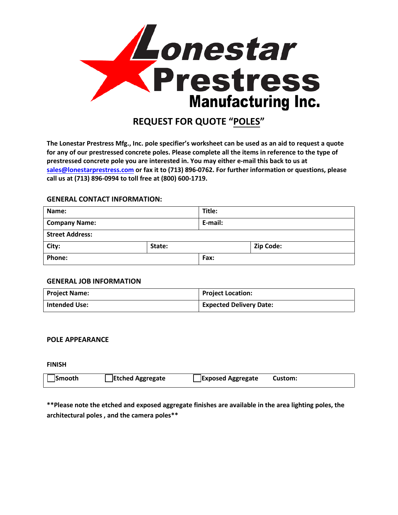

# **REQUEST FOR QUOTE "POLES"**

**The Lonestar Prestress Mfg., Inc. pole specifier's worksheet can be used as an aid to request a quote for any of our prestressed concrete poles. Please complete all the items in reference to the type of prestressed concrete pole you are interested in. You may either e-mail this back to us at sales@lonestarprestress.com or fax it to (713) 896-0762. For further information or questions, please call us at (713) 896-0994 to toll free at (800) 600-1719.**

### **GENERAL CONTACT INFORMATION:**

| Name:                  |        | Title:  |           |  |
|------------------------|--------|---------|-----------|--|
| <b>Company Name:</b>   |        | E-mail: |           |  |
| <b>Street Address:</b> |        |         |           |  |
| City:                  | State: |         | Zip Code: |  |
| <b>Phone:</b>          |        | Fax:    |           |  |

## **GENERAL JOB INFORMATION**

| Project Name:        | Project Location:              |
|----------------------|--------------------------------|
| <b>Intended Use:</b> | <b>Expected Delivery Date:</b> |

## **POLE APPEARANCE**

**FINISH**

| Etched Aggregate<br>Exposed Aggregate<br>Smooth<br><b>Custom:</b> |
|-------------------------------------------------------------------|
|-------------------------------------------------------------------|

**\*\*Please note the etched and exposed aggregate finishes are available in the area lighting poles, the architectural poles , and the camera poles\*\***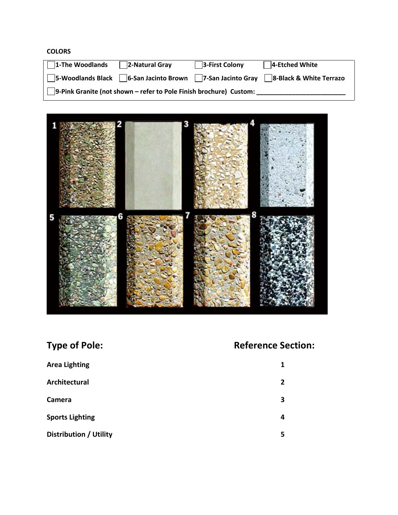## **COLORS**

| $\sqrt{1}$ -The Woodlands | $\sqrt{2}$ -Natural Gray                                                  | 3-First Colony | $\sqrt{4}$ -Etched White |
|---------------------------|---------------------------------------------------------------------------|----------------|--------------------------|
|                           | □ 5-Woodlands Black □ 6-San Jacinto Brown □ 7-San Jacinto Gray            |                | 8-Black & White Terrazo  |
|                           | $\Box$ 9-Pink Granite (not shown – refer to Pole Finish brochure) Custom: |                |                          |



| <b>Type of Pole:</b>          | <b>Reference Section:</b> |  |
|-------------------------------|---------------------------|--|
| <b>Area Lighting</b>          | 1                         |  |
| Architectural                 | 2                         |  |
| Camera                        | 3                         |  |
| <b>Sports Lighting</b>        | 4                         |  |
| <b>Distribution / Utility</b> | 5                         |  |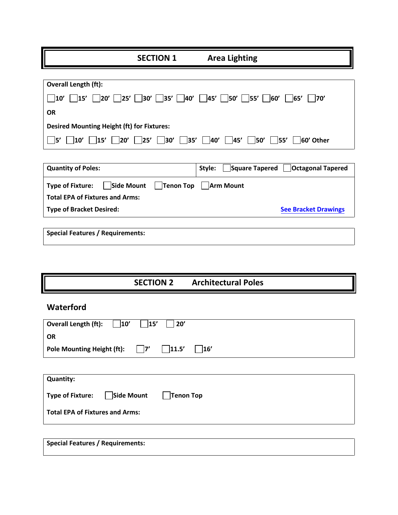**SECTION 1 Area Lighting**

| <b>Overall Length (ft):</b>                                                                    |
|------------------------------------------------------------------------------------------------|
| 10′    15′    20′    25′    30′    35′    40′    45′    50′    55′    60′    65′    70′        |
| <b>OR</b>                                                                                      |
| <b>Desired Mounting Height (ft) for Fixtures:</b>                                              |
| 10'   15'   20'   25'   30'   35'   40'   45'   50'   55'  <br>$\vert$ $\vert$ 5'<br>60' Other |

| <b>Quantity of Poles:</b>                                     | $\Box$ Square Tapered $\Box$ Octagonal Tapered<br>Stvle: |
|---------------------------------------------------------------|----------------------------------------------------------|
| Side Mount   Tenon Top   Arm Mount<br><b>Type of Fixture:</b> |                                                          |
| <b>Total EPA of Fixtures and Arms:</b>                        |                                                          |
| <b>Type of Bracket Desired:</b>                               | <b>See Bracket Drawings</b>                              |
|                                                               |                                                          |

**Special Features / Requirements:** 

**SECTION 2 Architectural Poles**

# **Waterford**

| <b>Overall Length (ft):</b><br>20'<br>15'<br>10'         |
|----------------------------------------------------------|
| <b>OR</b>                                                |
| <b>Pole Mounting Height (ft):</b><br> 11.5 <br>16'<br> 7 |
|                                                          |
| <b>Quantity:</b>                                         |
| Side Mount<br>Tenon Top<br><b>Type of Fixture:</b>       |
| <b>Total EPA of Fixtures and Arms:</b>                   |
|                                                          |
|                                                          |

**Special Features / Requirements:**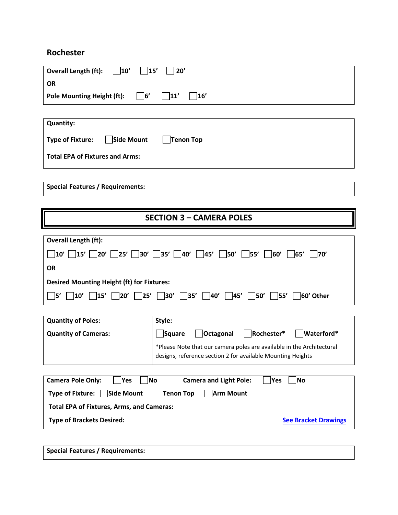# **Rochester**

| <b>Overall Length (ft):</b><br>10'                                      | 15'<br>20'                                                                                                                                                                                                                                 |  |  |  |  |
|-------------------------------------------------------------------------|--------------------------------------------------------------------------------------------------------------------------------------------------------------------------------------------------------------------------------------------|--|--|--|--|
| <b>OR</b>                                                               |                                                                                                                                                                                                                                            |  |  |  |  |
| $\vert$ 6'<br> 11'<br>16'<br><b>Pole Mounting Height (ft):</b>          |                                                                                                                                                                                                                                            |  |  |  |  |
|                                                                         |                                                                                                                                                                                                                                            |  |  |  |  |
| <b>Quantity:</b>                                                        |                                                                                                                                                                                                                                            |  |  |  |  |
| <b>Type of Fixture:</b><br>Side Mount                                   | Tenon Top                                                                                                                                                                                                                                  |  |  |  |  |
| <b>Total EPA of Fixtures and Arms:</b>                                  |                                                                                                                                                                                                                                            |  |  |  |  |
|                                                                         |                                                                                                                                                                                                                                            |  |  |  |  |
| <b>Special Features / Requirements:</b>                                 |                                                                                                                                                                                                                                            |  |  |  |  |
|                                                                         |                                                                                                                                                                                                                                            |  |  |  |  |
|                                                                         | <b>SECTION 3 - CAMERA POLES</b>                                                                                                                                                                                                            |  |  |  |  |
|                                                                         |                                                                                                                                                                                                                                            |  |  |  |  |
| Overall Length (ft):                                                    |                                                                                                                                                                                                                                            |  |  |  |  |
| 125′ ∏<br> 20'<br>30'<br>$ 10\rangle$<br>15'                            | 50'<br>$ 35' $ $ 40'$<br>45'<br>55'<br>60'<br> 65'<br> 70'                                                                                                                                                                                 |  |  |  |  |
| <b>OR</b>                                                               |                                                                                                                                                                                                                                            |  |  |  |  |
|                                                                         |                                                                                                                                                                                                                                            |  |  |  |  |
| <b>Desired Mounting Height (ft) for Fixtures:</b>                       |                                                                                                                                                                                                                                            |  |  |  |  |
| $\Box$ 20' $\Box$<br>]5'<br>$\vert$ 10'<br>$\overline{\phantom{a}}$ 15' | $\begin{array}{ccc} \begin{array}{ccc} \ \end{array} 25' & \begin{array}{ccc} \ \end{array} 30' & \begin{array}{ccc} \ \end{array} 35' & \begin{array}{ccc} \ \end{array} \end{array}$<br>$ 40'  $ $ 45'  $ $ 50'  $ $ 55'  $<br>60' Other |  |  |  |  |
|                                                                         |                                                                                                                                                                                                                                            |  |  |  |  |
| <b>Quantity of Poles:</b>                                               | Style:                                                                                                                                                                                                                                     |  |  |  |  |
| <b>Quantity of Cameras:</b>                                             | Square<br>Octagonal<br>Rochester*<br>Waterford*                                                                                                                                                                                            |  |  |  |  |
|                                                                         | *Please Note that our camera poles are available in the Architectural                                                                                                                                                                      |  |  |  |  |
|                                                                         | designs, reference section 2 for available Mounting Heights                                                                                                                                                                                |  |  |  |  |
|                                                                         |                                                                                                                                                                                                                                            |  |  |  |  |
| Yes<br><b>Camera Pole Only:</b>                                         | No<br><b>Camera and Light Pole:</b><br>No<br> Yes                                                                                                                                                                                          |  |  |  |  |
| Type of Fixture: Side Mount                                             | Tenon Top<br><b>Arm Mount</b>                                                                                                                                                                                                              |  |  |  |  |
| <b>Total EPA of Fixtures, Arms, and Cameras:</b>                        |                                                                                                                                                                                                                                            |  |  |  |  |
| <b>Type of Brackets Desired:</b>                                        | <b>See Bracket Drawings</b>                                                                                                                                                                                                                |  |  |  |  |
|                                                                         |                                                                                                                                                                                                                                            |  |  |  |  |
|                                                                         |                                                                                                                                                                                                                                            |  |  |  |  |

**Special Features / Requirements:**